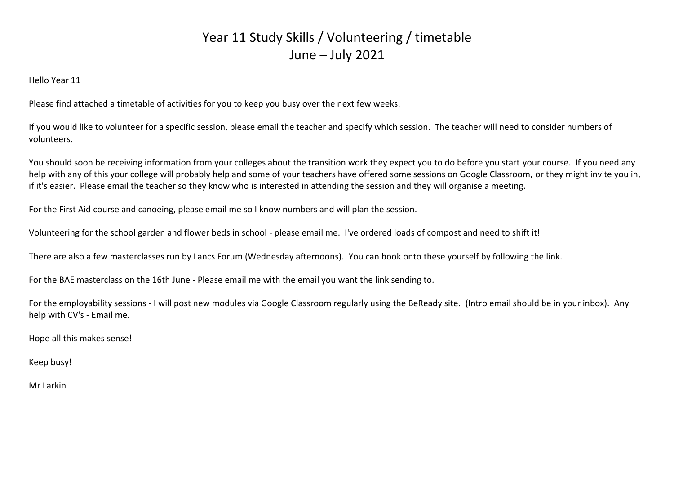Hello Year 11

Please find attached a timetable of activities for you to keep you busy over the next few weeks.

If you would like to volunteer for a specific session, please email the teacher and specify which session. The teacher will need to consider numbers of volunteers.

You should soon be receiving information from your colleges about the transition work they expect you to do before you start your course. If you need any help with any of this your college will probably help and some of your teachers have offered some sessions on Google Classroom, or they might invite you in, if it's easier. Please email the teacher so they know who is interested in attending the session and they will organise a meeting.

For the First Aid course and canoeing, please email me so I know numbers and will plan the session.

Volunteering for the school garden and flower beds in school - please email me. I've ordered loads of compost and need to shift it!

There are also a few masterclasses run by Lancs Forum (Wednesday afternoons). You can book onto these yourself by following the link.

For the BAE masterclass on the 16th June - Please email me with the email you want the link sending to.

For the employability sessions - I will post new modules via Google Classroom regularly using the BeReady site. (Intro email should be in your inbox). Any help with CV's - Email me.

Hope all this makes sense!

Keep busy!

Mr Larkin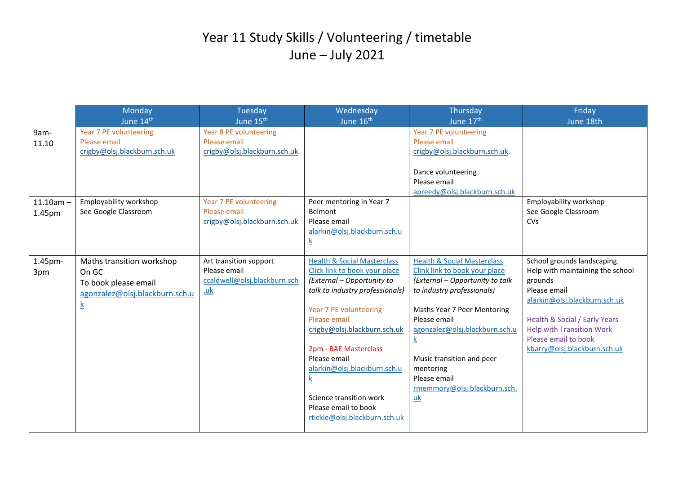|                        | Monday                                                                                                          | Tuesday                                                                              | Wednesday                                                                                                                                                                                                                                                                                                                                                                                                  | Thursday                                                                                                                                                                                                                                                                                                                                | Friday                                                                                                                                                                                                                                                   |
|------------------------|-----------------------------------------------------------------------------------------------------------------|--------------------------------------------------------------------------------------|------------------------------------------------------------------------------------------------------------------------------------------------------------------------------------------------------------------------------------------------------------------------------------------------------------------------------------------------------------------------------------------------------------|-----------------------------------------------------------------------------------------------------------------------------------------------------------------------------------------------------------------------------------------------------------------------------------------------------------------------------------------|----------------------------------------------------------------------------------------------------------------------------------------------------------------------------------------------------------------------------------------------------------|
|                        | June 14th                                                                                                       | June 15 <sup>th</sup>                                                                | June 16 <sup>th</sup>                                                                                                                                                                                                                                                                                                                                                                                      | June 17th                                                                                                                                                                                                                                                                                                                               | June 18th                                                                                                                                                                                                                                                |
| 9am-<br>11.10          | Year 7 PE volunteering<br>Please email<br>crigby@olsj.blackburn.sch.uk                                          | Year 8 PE volunteering<br>Please email<br>crigby@olsj.blackburn.sch.uk               |                                                                                                                                                                                                                                                                                                                                                                                                            | Year 7 PE volunteering<br>Please email<br>crigby@olsj.blackburn.sch.uk<br>Dance volunteering                                                                                                                                                                                                                                            |                                                                                                                                                                                                                                                          |
|                        |                                                                                                                 |                                                                                      |                                                                                                                                                                                                                                                                                                                                                                                                            | Please email<br>apreedy@olsj.blackburn.sch.uk                                                                                                                                                                                                                                                                                           |                                                                                                                                                                                                                                                          |
| $11.10$ am -<br>1.45pm | Employability workshop<br>See Google Classroom                                                                  | Year 7 PE volunteering<br>Please email<br>crigby@olsj.blackburn.sch.uk               | Peer mentoring in Year 7<br>Belmont<br>Please email<br>alarkin@olsj.blackburn.sch.u<br>$\underline{k}$                                                                                                                                                                                                                                                                                                     |                                                                                                                                                                                                                                                                                                                                         | Employability workshop<br>See Google Classroom<br>CVs                                                                                                                                                                                                    |
| 1.45pm-<br>3pm         | Maths transition workshop<br>On GC<br>To book please email<br>agonzalez@olsj.blackburn.sch.u<br>$\underline{k}$ | Art transition support<br>Please email<br>ccaldwell@olsj.blackburn.sch<br><u>.uk</u> | <b>Health &amp; Social Masterclass</b><br>Click link to book your place<br>(External - Opportunity to<br>talk to industry professionals)<br>Year 7 PE volunteering<br>Please email<br>crigby@olsj.blackburn.sch.uk<br>2pm - BAE Masterclass<br>Please email<br>alarkin@olsj.blackburn.sch.u<br>$\overline{\mathbf{k}}$<br>Science transition work<br>Please email to book<br>rtickle@olsj.blackburn.sch.uk | <b>Health &amp; Social Masterclass</b><br>Clink link to book your place<br>(External - Opportunity to talk<br>to industry professionals)<br>Maths Year 7 Peer Mentoring<br>Please email<br>agonzalez@olsj.blackburn.sch.u<br><u>k</u><br>Music transition and peer<br>mentoring<br>Please email<br>rmemmory@olsj.blackburn.sch.<br>$uk$ | School grounds landscaping.<br>Help with maintaining the school<br>grounds<br>Please email<br>alarkin@olsj.blackburn.sch.uk<br>Health & Social / Early Years<br><b>Help with Transition Work</b><br>Please email to book<br>kbarry@olsj.blackburn.sch.uk |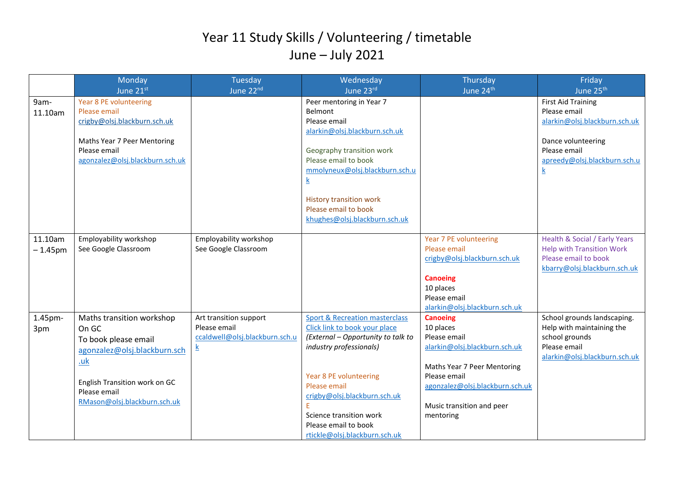|                       | Monday                                                                                                                                                                             | Tuesday                                                                                     | Wednesday                                                                                                                                                                                                                                                                                                 | Thursday                                                                                                                                                                                                  | Friday                                                                                                                                                |
|-----------------------|------------------------------------------------------------------------------------------------------------------------------------------------------------------------------------|---------------------------------------------------------------------------------------------|-----------------------------------------------------------------------------------------------------------------------------------------------------------------------------------------------------------------------------------------------------------------------------------------------------------|-----------------------------------------------------------------------------------------------------------------------------------------------------------------------------------------------------------|-------------------------------------------------------------------------------------------------------------------------------------------------------|
|                       | June 21st                                                                                                                                                                          | June 22nd                                                                                   | June 23rd                                                                                                                                                                                                                                                                                                 | June 24th                                                                                                                                                                                                 | June 25 <sup>th</sup>                                                                                                                                 |
| 9am-<br>11.10am       | Year 8 PE volunteering<br>Please email<br>crigby@olsj.blackburn.sch.uk<br>Maths Year 7 Peer Mentoring<br>Please email<br>agonzalez@olsj.blackburn.sch.uk                           |                                                                                             | Peer mentoring in Year 7<br>Belmont<br>Please email<br>alarkin@olsj.blackburn.sch.uk<br>Geography transition work<br>Please email to book<br>mmolyneux@olsj.blackburn.sch.u<br>$\underline{k}$<br><b>History transition work</b><br>Please email to book<br>khughes@olsj.blackburn.sch.uk                 |                                                                                                                                                                                                           | <b>First Aid Training</b><br>Please email<br>alarkin@olsj.blackburn.sch.uk<br>Dance volunteering<br>Please email<br>apreedy@olsj.blackburn.sch.u<br>k |
| 11.10am<br>$-1.45$ pm | Employability workshop<br>See Google Classroom                                                                                                                                     | Employability workshop<br>See Google Classroom                                              |                                                                                                                                                                                                                                                                                                           | Year 7 PE volunteering<br>Please email<br>crigby@olsj.blackburn.sch.uk<br><b>Canoeing</b><br>10 places<br>Please email<br>alarkin@olsj.blackburn.sch.uk                                                   | Health & Social / Early Years<br><b>Help with Transition Work</b><br>Please email to book<br>kbarry@olsj.blackburn.sch.uk                             |
| 1.45pm-<br>3pm        | Maths transition workshop<br>On GC<br>To book please email<br>agonzalez@olsj.blackburn.sch<br>.uk<br>English Transition work on GC<br>Please email<br>RMason@olsj.blackburn.sch.uk | Art transition support<br>Please email<br>ccaldwell@olsj.blackburn.sch.u<br>$\underline{k}$ | <b>Sport &amp; Recreation masterclass</b><br>Click link to book your place<br>(External - Opportunity to talk to<br>industry professionals)<br>Year 8 PE volunteering<br>Please email<br>crigby@olsj.blackburn.sch.uk<br>Science transition work<br>Please email to book<br>rtickle@olsj.blackburn.sch.uk | <b>Canoeing</b><br>10 places<br>Please email<br>alarkin@olsj.blackburn.sch.uk<br>Maths Year 7 Peer Mentoring<br>Please email<br>agonzalez@olsj.blackburn.sch.uk<br>Music transition and peer<br>mentoring | School grounds landscaping.<br>Help with maintaining the<br>school grounds<br>Please email<br>alarkin@olsj.blackburn.sch.uk                           |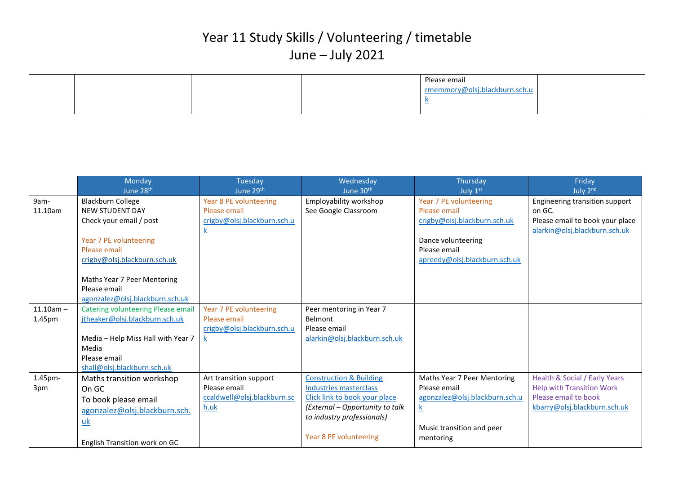|  |  | Please email                  |  |
|--|--|-------------------------------|--|
|  |  | rmemmory@olsj.blackburn.sch.u |  |
|  |  | $\sim$                        |  |
|  |  |                               |  |

|                       | Monday<br>June 28 <sup>th</sup>                                                                                                                                                                                                           | Tuesday<br>June 29th                                                              | Wednesday<br>June 30 <sup>th</sup>                                                                                                                                                              | Thursday<br>July 1st                                                                                                                          | Friday<br>July 2nd                                                                                                        |
|-----------------------|-------------------------------------------------------------------------------------------------------------------------------------------------------------------------------------------------------------------------------------------|-----------------------------------------------------------------------------------|-------------------------------------------------------------------------------------------------------------------------------------------------------------------------------------------------|-----------------------------------------------------------------------------------------------------------------------------------------------|---------------------------------------------------------------------------------------------------------------------------|
| 9am-<br>11.10am       | <b>Blackburn College</b><br><b>NEW STUDENT DAY</b><br>Check your email / post<br>Year 7 PE volunteering<br>Please email<br>crigby@olsj.blackburn.sch.uk<br>Maths Year 7 Peer Mentoring<br>Please email<br>agonzalez@olsj.blackburn.sch.uk | Year 8 PE volunteering<br>Please email<br>crigby@olsj.blackburn.sch.u<br><u>k</u> | Employability workshop<br>See Google Classroom                                                                                                                                                  | Year 7 PE volunteering<br>Please email<br>crigby@olsj.blackburn.sch.uk<br>Dance volunteering<br>Please email<br>apreedy@olsj.blackburn.sch.uk | Engineering transition support<br>on GC.<br>Please email to book your place<br>alarkin@olsj.blackburn.sch.uk              |
| $11.10am -$<br>1.45pm | <b>Catering volunteering Please email</b><br>jtheaker@olsj.blackburn.sch.uk<br>Media - Help Miss Hall with Year 7<br>Media<br>Please email<br>shall@olsj.blackburn.sch.uk                                                                 | Year 7 PE volunteering<br>Please email<br>crigby@olsj.blackburn.sch.u<br><u>k</u> | Peer mentoring in Year 7<br>Belmont<br>Please email<br>alarkin@olsj.blackburn.sch.uk                                                                                                            |                                                                                                                                               |                                                                                                                           |
| 1.45pm-<br>3pm        | Maths transition workshop<br>On GC<br>To book please email<br>agonzalez@olsj.blackburn.sch.<br>$uk$<br>English Transition work on GC                                                                                                      | Art transition support<br>Please email<br>ccaldwell@olsj.blackburn.sc<br>h.uk     | <b>Construction &amp; Building</b><br><b>Industries masterclass</b><br>Click link to book your place<br>(External - Opportunity to talk<br>to industry professionals)<br>Year 8 PE volunteering | Maths Year 7 Peer Mentoring<br>Please email<br>agonzalez@olsj.blackburn.sch.u<br>$\underline{k}$<br>Music transition and peer<br>mentoring    | Health & Social / Early Years<br><b>Help with Transition Work</b><br>Please email to book<br>kbarry@olsj.blackburn.sch.uk |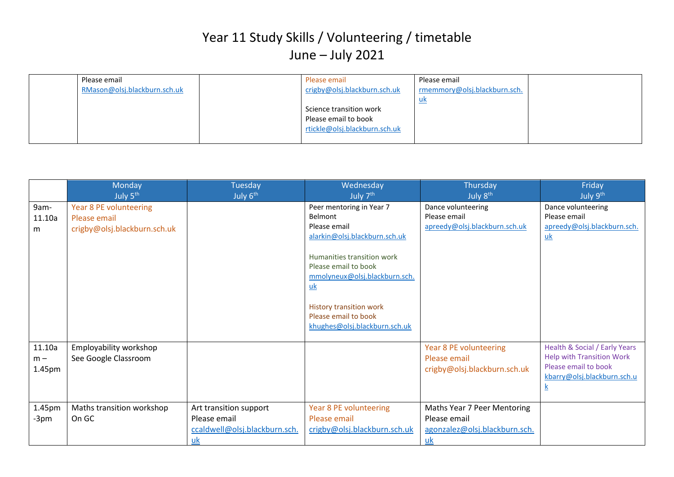| Please email                 | Please email                  | Please email                 |  |
|------------------------------|-------------------------------|------------------------------|--|
| RMason@olsj.blackburn.sch.uk | crigby@olsj.blackburn.sch.uk  | rmemmory@olsj.blackburn.sch. |  |
|                              |                               | <u>uk</u>                    |  |
|                              | Science transition work       |                              |  |
|                              | Please email to book          |                              |  |
|                              | rtickle@olsj.blackburn.sch.uk |                              |  |
|                              |                               |                              |  |

|                           | Monday<br>July 5 <sup>th</sup>                                         | Tuesday<br>July 6 <sup>th</sup>                                                 | Wednesday<br>July 7 <sup>th</sup>                                                                                                                                                                                                                                                          | Thursday<br>July 8 <sup>th</sup>                                                          | Friday<br>July 9 <sup>th</sup>                                                                                                              |
|---------------------------|------------------------------------------------------------------------|---------------------------------------------------------------------------------|--------------------------------------------------------------------------------------------------------------------------------------------------------------------------------------------------------------------------------------------------------------------------------------------|-------------------------------------------------------------------------------------------|---------------------------------------------------------------------------------------------------------------------------------------------|
| 9am-<br>11.10a<br>m       | Year 8 PE volunteering<br>Please email<br>crigby@olsj.blackburn.sch.uk |                                                                                 | Peer mentoring in Year 7<br>Belmont<br>Please email<br>alarkin@olsj.blackburn.sch.uk<br>Humanities transition work<br>Please email to book<br>mmolyneux@olsj.blackburn.sch.<br>$\underline{uk}$<br><b>History transition work</b><br>Please email to book<br>khughes@olsj.blackburn.sch.uk | Dance volunteering<br>Please email<br>apreedy@olsj.blackburn.sch.uk                       | Dance volunteering<br>Please email<br>apreedy@olsj.blackburn.sch.<br>$\underline{uk}$                                                       |
| 11.10a<br>$m -$<br>1.45pm | Employability workshop<br>See Google Classroom                         |                                                                                 |                                                                                                                                                                                                                                                                                            | Year 8 PE volunteering<br>Please email<br>crigby@olsj.blackburn.sch.uk                    | Health & Social / Early Years<br><b>Help with Transition Work</b><br>Please email to book<br>kbarry@olsj.blackburn.sch.u<br>$\underline{k}$ |
| 1.45pm<br>-3pm            | Maths transition workshop<br>On GC                                     | Art transition support<br>Please email<br>ccaldwell@olsj.blackburn.sch.<br>$uk$ | Year 8 PE volunteering<br>Please email<br>crigby@olsj.blackburn.sch.uk                                                                                                                                                                                                                     | Maths Year 7 Peer Mentoring<br>Please email<br>agonzalez@olsj.blackburn.sch.<br><u>uk</u> |                                                                                                                                             |